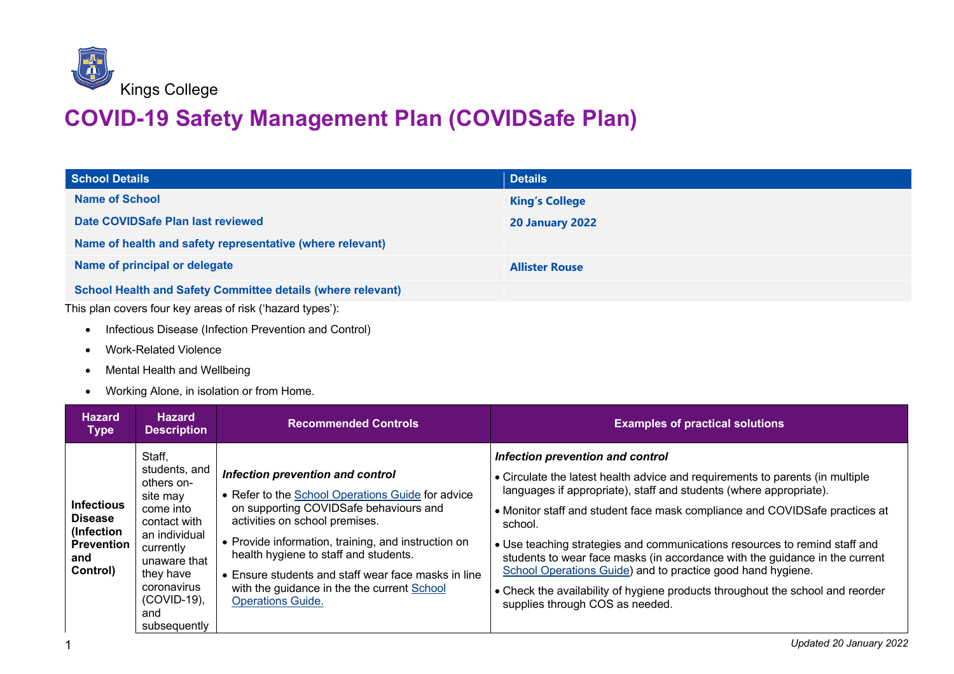

## **COVID-19 Safety Management Plan (COVIDSafe Plan)**

| <b>School Details</b>                                              | <b>Details</b>         |
|--------------------------------------------------------------------|------------------------|
| Name of School                                                     | <b>King's College</b>  |
| Date COVIDSafe Plan last reviewed                                  | <b>20 January 2022</b> |
| Name of health and safety representative (where relevant)          |                        |
| Name of principal or delegate                                      | <b>Allister Rouse</b>  |
| <b>School Health and Safety Committee details (where relevant)</b> |                        |
| This plan covers four key areas of risk ('hazard types'):          |                        |

- Infectious Disease (Infection Prevention and Control)
- Work-Related Violence
- Mental Health and Wellbeing
- Working Alone, in isolation or from Home.

| <b>Hazard</b><br><b>Type</b>                                                              | <b>Hazard</b><br><b>Description</b>                                                                                                                                                               | <b>Recommended Controls</b>                                                                                                                                                                                                                                                                                                                                                                         | <b>Examples of practical solutions</b>                                                                                                                                                                                                                                                                                                                                                                                                                                                                                                                                                                                             |
|-------------------------------------------------------------------------------------------|---------------------------------------------------------------------------------------------------------------------------------------------------------------------------------------------------|-----------------------------------------------------------------------------------------------------------------------------------------------------------------------------------------------------------------------------------------------------------------------------------------------------------------------------------------------------------------------------------------------------|------------------------------------------------------------------------------------------------------------------------------------------------------------------------------------------------------------------------------------------------------------------------------------------------------------------------------------------------------------------------------------------------------------------------------------------------------------------------------------------------------------------------------------------------------------------------------------------------------------------------------------|
| <b>Infectious</b><br><b>Disease</b><br>(Infection<br><b>Prevention</b><br>and<br>Control) | Staff,<br>students, and<br>others on-<br>site may<br>come into<br>contact with<br>an individual<br>currently<br>unaware that<br>they have<br>coronavirus<br>$(COVID-19)$ ,<br>and<br>subsequently | Infection prevention and control<br>• Refer to the School Operations Guide for advice<br>on supporting COVIDSafe behaviours and<br>activities on school premises.<br>• Provide information, training, and instruction on<br>health hygiene to staff and students.<br>• Ensure students and staff wear face masks in line<br>with the guidance in the the current School<br><b>Operations Guide.</b> | Infection prevention and control<br>• Circulate the latest health advice and requirements to parents (in multiple<br>languages if appropriate), staff and students (where appropriate).<br>• Monitor staff and student face mask compliance and COVIDSafe practices at<br>school.<br>• Use teaching strategies and communications resources to remind staff and<br>students to wear face masks (in accordance with the guidance in the current<br>School Operations Guide) and to practice good hand hygiene.<br>• Check the availability of hygiene products throughout the school and reorder<br>supplies through COS as needed. |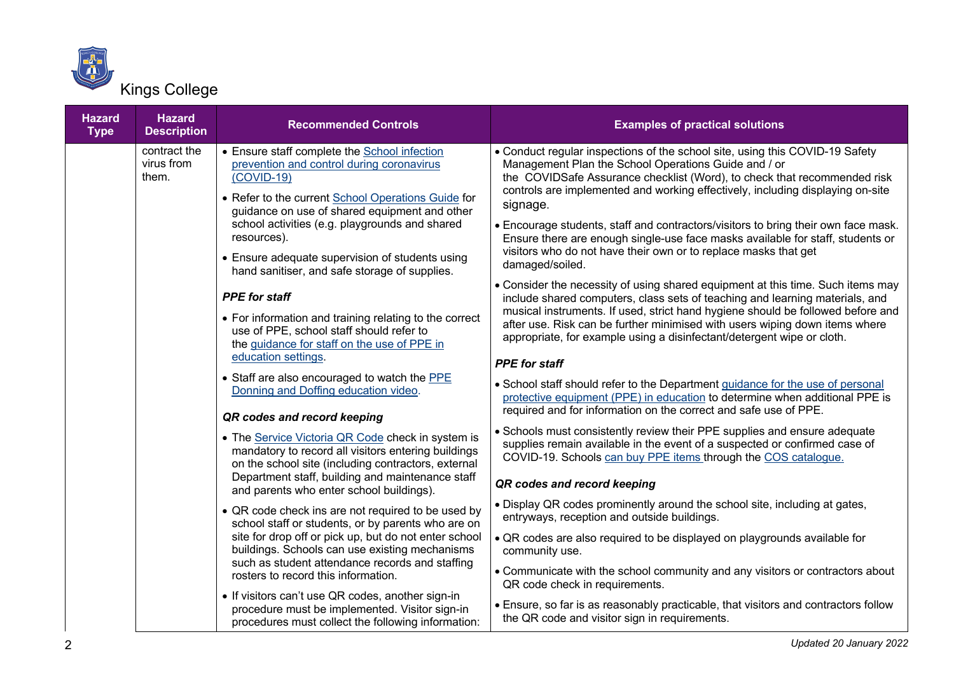

| <b>Hazard</b><br><b>Type</b> | <b>Hazard</b><br><b>Description</b> | <b>Recommended Controls</b>                                                                                                                                                                                      | <b>Examples of practical solutions</b>                                                                                                                                                                                                                                                                         |
|------------------------------|-------------------------------------|------------------------------------------------------------------------------------------------------------------------------------------------------------------------------------------------------------------|----------------------------------------------------------------------------------------------------------------------------------------------------------------------------------------------------------------------------------------------------------------------------------------------------------------|
|                              | contract the<br>virus from<br>them. | • Ensure staff complete the School infection<br>prevention and control during coronavirus<br>$(COVID-19)$<br>• Refer to the current School Operations Guide for<br>guidance on use of shared equipment and other | • Conduct regular inspections of the school site, using this COVID-19 Safety<br>Management Plan the School Operations Guide and / or<br>the COVIDSafe Assurance checklist (Word), to check that recommended risk<br>controls are implemented and working effectively, including displaying on-site<br>signage. |
|                              |                                     | school activities (e.g. playgrounds and shared<br>resources).<br>• Ensure adequate supervision of students using                                                                                                 | • Encourage students, staff and contractors/visitors to bring their own face mask.<br>Ensure there are enough single-use face masks available for staff, students or<br>visitors who do not have their own or to replace masks that get                                                                        |
|                              |                                     | hand sanitiser, and safe storage of supplies.                                                                                                                                                                    | damaged/soiled.                                                                                                                                                                                                                                                                                                |
|                              |                                     | <b>PPE</b> for staff                                                                                                                                                                                             | • Consider the necessity of using shared equipment at this time. Such items may<br>include shared computers, class sets of teaching and learning materials, and                                                                                                                                                |
|                              |                                     | • For information and training relating to the correct<br>use of PPE, school staff should refer to<br>the guidance for staff on the use of PPE in                                                                | musical instruments. If used, strict hand hygiene should be followed before and<br>after use. Risk can be further minimised with users wiping down items where<br>appropriate, for example using a disinfectant/detergent wipe or cloth.                                                                       |
|                              |                                     | education settings.                                                                                                                                                                                              | <b>PPE</b> for staff                                                                                                                                                                                                                                                                                           |
|                              |                                     | • Staff are also encouraged to watch the PPE<br>Donning and Doffing education video.                                                                                                                             | • School staff should refer to the Department guidance for the use of personal<br>protective equipment (PPE) in education to determine when additional PPE is<br>required and for information on the correct and safe use of PPE.                                                                              |
|                              |                                     | QR codes and record keeping                                                                                                                                                                                      |                                                                                                                                                                                                                                                                                                                |
|                              |                                     | • The Service Victoria QR Code check in system is<br>mandatory to record all visitors entering buildings<br>on the school site (including contractors, external                                                  | • Schools must consistently review their PPE supplies and ensure adequate<br>supplies remain available in the event of a suspected or confirmed case of<br>COVID-19. Schools can buy PPE items through the COS catalogue.                                                                                      |
|                              |                                     | Department staff, building and maintenance staff<br>and parents who enter school buildings).                                                                                                                     | QR codes and record keeping                                                                                                                                                                                                                                                                                    |
|                              |                                     | • QR code check ins are not required to be used by<br>school staff or students, or by parents who are on                                                                                                         | • Display QR codes prominently around the school site, including at gates,<br>entryways, reception and outside buildings.                                                                                                                                                                                      |
|                              |                                     | site for drop off or pick up, but do not enter school<br>buildings. Schools can use existing mechanisms<br>such as student attendance records and staffing                                                       | • QR codes are also required to be displayed on playgrounds available for<br>community use.                                                                                                                                                                                                                    |
|                              |                                     | rosters to record this information.                                                                                                                                                                              | • Communicate with the school community and any visitors or contractors about<br>QR code check in requirements.                                                                                                                                                                                                |
|                              |                                     | • If visitors can't use QR codes, another sign-in<br>procedure must be implemented. Visitor sign-in<br>procedures must collect the following information:                                                        | • Ensure, so far is as reasonably practicable, that visitors and contractors follow<br>the QR code and visitor sign in requirements.                                                                                                                                                                           |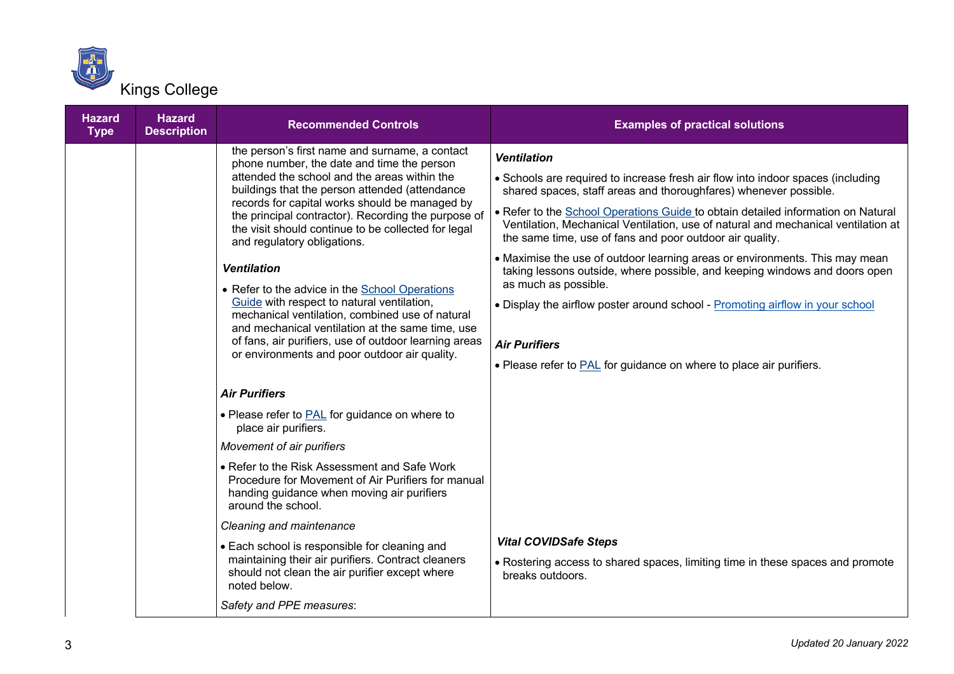

| <b>Hazard</b><br><b>Type</b> | <b>Hazard</b><br><b>Description</b> | <b>Recommended Controls</b>                                                                                                                                                                                                                                                                                                                                                                                                                                                                                                                                                                                                                                                                                                          | <b>Examples of practical solutions</b>                                                                                                                                                                                                                                                                                                                                                                                                                                                                                                                                                                                                                                                                                                                                                     |
|------------------------------|-------------------------------------|--------------------------------------------------------------------------------------------------------------------------------------------------------------------------------------------------------------------------------------------------------------------------------------------------------------------------------------------------------------------------------------------------------------------------------------------------------------------------------------------------------------------------------------------------------------------------------------------------------------------------------------------------------------------------------------------------------------------------------------|--------------------------------------------------------------------------------------------------------------------------------------------------------------------------------------------------------------------------------------------------------------------------------------------------------------------------------------------------------------------------------------------------------------------------------------------------------------------------------------------------------------------------------------------------------------------------------------------------------------------------------------------------------------------------------------------------------------------------------------------------------------------------------------------|
|                              |                                     | the person's first name and surname, a contact<br>phone number, the date and time the person<br>attended the school and the areas within the<br>buildings that the person attended (attendance<br>records for capital works should be managed by<br>the principal contractor). Recording the purpose of<br>the visit should continue to be collected for legal<br>and regulatory obligations.<br><b>Ventilation</b><br>• Refer to the advice in the School Operations<br>Guide with respect to natural ventilation,<br>mechanical ventilation, combined use of natural<br>and mechanical ventilation at the same time, use<br>of fans, air purifiers, use of outdoor learning areas<br>or environments and poor outdoor air quality. | <b>Ventilation</b><br>• Schools are required to increase fresh air flow into indoor spaces (including<br>shared spaces, staff areas and thoroughfares) whenever possible.<br>• Refer to the School Operations Guide to obtain detailed information on Natural<br>Ventilation, Mechanical Ventilation, use of natural and mechanical ventilation at<br>the same time, use of fans and poor outdoor air quality.<br>• Maximise the use of outdoor learning areas or environments. This may mean<br>taking lessons outside, where possible, and keeping windows and doors open<br>as much as possible.<br>. Display the airflow poster around school - Promoting airflow in your school<br><b>Air Purifiers</b><br>• Please refer to <b>PAL</b> for guidance on where to place air purifiers. |
|                              |                                     | <b>Air Purifiers</b><br>• Please refer to <b>PAL</b> for guidance on where to<br>place air purifiers.<br>Movement of air purifiers<br>• Refer to the Risk Assessment and Safe Work<br>Procedure for Movement of Air Purifiers for manual<br>handing guidance when moving air purifiers<br>around the school.<br>Cleaning and maintenance<br>• Each school is responsible for cleaning and<br>maintaining their air purifiers. Contract cleaners<br>should not clean the air purifier except where<br>noted below.                                                                                                                                                                                                                    | <b>Vital COVIDSafe Steps</b><br>• Rostering access to shared spaces, limiting time in these spaces and promote<br>breaks outdoors.                                                                                                                                                                                                                                                                                                                                                                                                                                                                                                                                                                                                                                                         |
|                              |                                     | Safety and PPE measures:                                                                                                                                                                                                                                                                                                                                                                                                                                                                                                                                                                                                                                                                                                             |                                                                                                                                                                                                                                                                                                                                                                                                                                                                                                                                                                                                                                                                                                                                                                                            |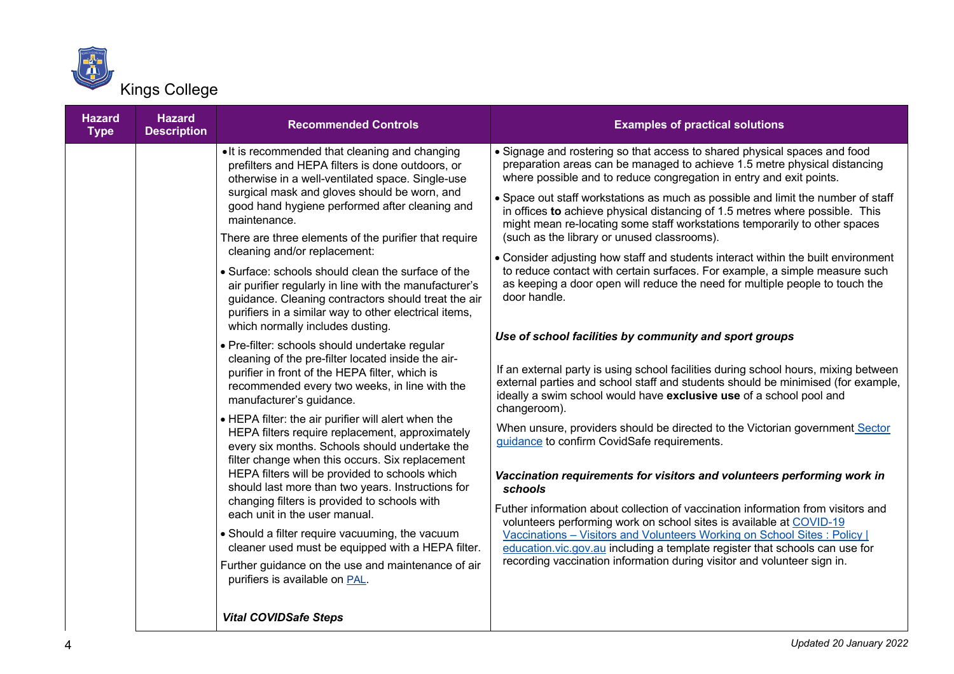

| <b>Hazard</b><br><b>Type</b> | <b>Hazard</b><br><b>Description</b> | <b>Recommended Controls</b>                                                                                                                                                                                                                                                                                                                                                                                                                                                                                                                                                                                                                                                                                                                                                                                                                                                                                                                                                                                                                                                                                                                                                                                                                                                                                                                                                                                                                                                                                         | <b>Examples of practical solutions</b>                                                                                                                                                                                                                                                                                                                                                                                                                                                                                                                                                                                                                                                                                                                                                                                                                                                                                                                                                                                                                                                                                                                                                                                                                                                                                                                                                                                                                                                                                                                                                                                                                                                                                                                |
|------------------------------|-------------------------------------|---------------------------------------------------------------------------------------------------------------------------------------------------------------------------------------------------------------------------------------------------------------------------------------------------------------------------------------------------------------------------------------------------------------------------------------------------------------------------------------------------------------------------------------------------------------------------------------------------------------------------------------------------------------------------------------------------------------------------------------------------------------------------------------------------------------------------------------------------------------------------------------------------------------------------------------------------------------------------------------------------------------------------------------------------------------------------------------------------------------------------------------------------------------------------------------------------------------------------------------------------------------------------------------------------------------------------------------------------------------------------------------------------------------------------------------------------------------------------------------------------------------------|-------------------------------------------------------------------------------------------------------------------------------------------------------------------------------------------------------------------------------------------------------------------------------------------------------------------------------------------------------------------------------------------------------------------------------------------------------------------------------------------------------------------------------------------------------------------------------------------------------------------------------------------------------------------------------------------------------------------------------------------------------------------------------------------------------------------------------------------------------------------------------------------------------------------------------------------------------------------------------------------------------------------------------------------------------------------------------------------------------------------------------------------------------------------------------------------------------------------------------------------------------------------------------------------------------------------------------------------------------------------------------------------------------------------------------------------------------------------------------------------------------------------------------------------------------------------------------------------------------------------------------------------------------------------------------------------------------------------------------------------------------|
|                              |                                     | . It is recommended that cleaning and changing<br>prefilters and HEPA filters is done outdoors, or<br>otherwise in a well-ventilated space. Single-use<br>surgical mask and gloves should be worn, and<br>good hand hygiene performed after cleaning and<br>maintenance.<br>There are three elements of the purifier that require<br>cleaning and/or replacement:<br>• Surface: schools should clean the surface of the<br>air purifier regularly in line with the manufacturer's<br>guidance. Cleaning contractors should treat the air<br>purifiers in a similar way to other electrical items,<br>which normally includes dusting.<br>· Pre-filter: schools should undertake regular<br>cleaning of the pre-filter located inside the air-<br>purifier in front of the HEPA filter, which is<br>recommended every two weeks, in line with the<br>manufacturer's guidance.<br>• HEPA filter: the air purifier will alert when the<br>HEPA filters require replacement, approximately<br>every six months. Schools should undertake the<br>filter change when this occurs. Six replacement<br>HEPA filters will be provided to schools which<br>should last more than two years. Instructions for<br>changing filters is provided to schools with<br>each unit in the user manual.<br>• Should a filter require vacuuming, the vacuum<br>cleaner used must be equipped with a HEPA filter.<br>Further guidance on the use and maintenance of air<br>purifiers is available on PAL.<br><b>Vital COVIDSafe Steps</b> | • Signage and rostering so that access to shared physical spaces and food<br>preparation areas can be managed to achieve 1.5 metre physical distancing<br>where possible and to reduce congregation in entry and exit points.<br>• Space out staff workstations as much as possible and limit the number of staff<br>in offices to achieve physical distancing of 1.5 metres where possible. This<br>might mean re-locating some staff workstations temporarily to other spaces<br>(such as the library or unused classrooms).<br>• Consider adjusting how staff and students interact within the built environment<br>to reduce contact with certain surfaces. For example, a simple measure such<br>as keeping a door open will reduce the need for multiple people to touch the<br>door handle.<br>Use of school facilities by community and sport groups<br>If an external party is using school facilities during school hours, mixing between<br>external parties and school staff and students should be minimised (for example,<br>ideally a swim school would have exclusive use of a school pool and<br>changeroom).<br>When unsure, providers should be directed to the Victorian government Sector<br>guidance to confirm CovidSafe requirements.<br>Vaccination requirements for visitors and volunteers performing work in<br>schools<br>Futher information about collection of vaccination information from visitors and<br>volunteers performing work on school sites is available at COVID-19<br>Vaccinations - Visitors and Volunteers Working on School Sites : Policy  <br>education.vic.gov.au including a template register that schools can use for<br>recording vaccination information during visitor and volunteer sign in. |
|                              |                                     |                                                                                                                                                                                                                                                                                                                                                                                                                                                                                                                                                                                                                                                                                                                                                                                                                                                                                                                                                                                                                                                                                                                                                                                                                                                                                                                                                                                                                                                                                                                     |                                                                                                                                                                                                                                                                                                                                                                                                                                                                                                                                                                                                                                                                                                                                                                                                                                                                                                                                                                                                                                                                                                                                                                                                                                                                                                                                                                                                                                                                                                                                                                                                                                                                                                                                                       |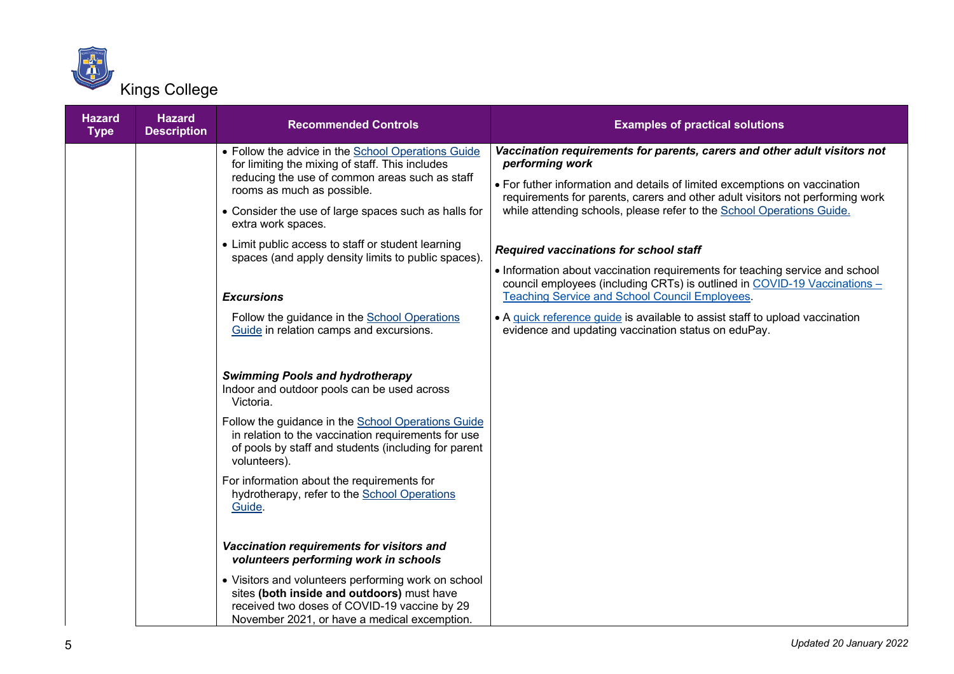

| <b>Hazard</b><br><b>Type</b> | <b>Hazard</b><br><b>Description</b> | <b>Recommended Controls</b>                                                                                                                                                                                                                                                                                                                                                                                                                           | <b>Examples of practical solutions</b>                                                                                                                                                                                                                                                                                                                                                                                                                                                                                                                                                                                                                                                      |
|------------------------------|-------------------------------------|-------------------------------------------------------------------------------------------------------------------------------------------------------------------------------------------------------------------------------------------------------------------------------------------------------------------------------------------------------------------------------------------------------------------------------------------------------|---------------------------------------------------------------------------------------------------------------------------------------------------------------------------------------------------------------------------------------------------------------------------------------------------------------------------------------------------------------------------------------------------------------------------------------------------------------------------------------------------------------------------------------------------------------------------------------------------------------------------------------------------------------------------------------------|
|                              |                                     | • Follow the advice in the School Operations Guide<br>for limiting the mixing of staff. This includes<br>reducing the use of common areas such as staff<br>rooms as much as possible.<br>• Consider the use of large spaces such as halls for<br>extra work spaces.<br>• Limit public access to staff or student learning<br>spaces (and apply density limits to public spaces).<br><b>Excursions</b><br>Follow the guidance in the School Operations | Vaccination requirements for parents, carers and other adult visitors not<br>performing work<br>• For futher information and details of limited excemptions on vaccination<br>requirements for parents, carers and other adult visitors not performing work<br>while attending schools, please refer to the School Operations Guide.<br><b>Required vaccinations for school staff</b><br>• Information about vaccination requirements for teaching service and school<br>council employees (including CRTs) is outlined in COVID-19 Vaccinations -<br><b>Teaching Service and School Council Employees.</b><br>• A quick reference guide is available to assist staff to upload vaccination |
|                              |                                     | Guide in relation camps and excursions.<br><b>Swimming Pools and hydrotherapy</b><br>Indoor and outdoor pools can be used across<br>Victoria.<br>Follow the guidance in the School Operations Guide<br>in relation to the vaccination requirements for use<br>of pools by staff and students (including for parent<br>volunteers).<br>For information about the requirements for<br>hydrotherapy, refer to the School Operations<br>Guide.            | evidence and updating vaccination status on eduPay.                                                                                                                                                                                                                                                                                                                                                                                                                                                                                                                                                                                                                                         |
|                              |                                     | Vaccination requirements for visitors and<br>volunteers performing work in schools<br>• Visitors and volunteers performing work on school<br>sites (both inside and outdoors) must have<br>received two doses of COVID-19 vaccine by 29<br>November 2021, or have a medical excemption.                                                                                                                                                               |                                                                                                                                                                                                                                                                                                                                                                                                                                                                                                                                                                                                                                                                                             |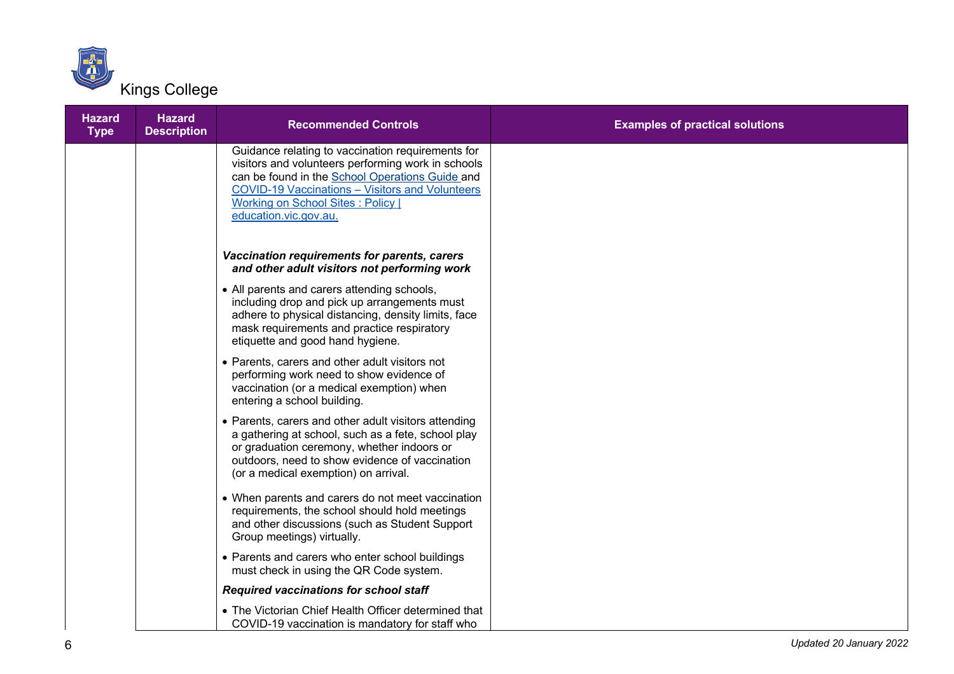

| <b>Hazard</b><br><b>Type</b> | <b>Hazard</b><br><b>Description</b> | <b>Recommended Controls</b>                                                                                                                                                                                                                                                               | <b>Examples of practical solutions</b> |
|------------------------------|-------------------------------------|-------------------------------------------------------------------------------------------------------------------------------------------------------------------------------------------------------------------------------------------------------------------------------------------|----------------------------------------|
|                              |                                     | Guidance relating to vaccination requirements for<br>visitors and volunteers performing work in schools<br>can be found in the School Operations Guide and<br><b>COVID-19 Vaccinations - Visitors and Volunteers</b><br><b>Working on School Sites: Policy  </b><br>education.vic.gov.au. |                                        |
|                              |                                     | Vaccination requirements for parents, carers<br>and other adult visitors not performing work                                                                                                                                                                                              |                                        |
|                              |                                     | • All parents and carers attending schools,<br>including drop and pick up arrangements must<br>adhere to physical distancing, density limits, face<br>mask requirements and practice respiratory<br>etiquette and good hand hygiene.                                                      |                                        |
|                              |                                     | • Parents, carers and other adult visitors not<br>performing work need to show evidence of<br>vaccination (or a medical exemption) when<br>entering a school building.                                                                                                                    |                                        |
|                              |                                     | • Parents, carers and other adult visitors attending<br>a gathering at school, such as a fete, school play<br>or graduation ceremony, whether indoors or<br>outdoors, need to show evidence of vaccination<br>(or a medical exemption) on arrival.                                        |                                        |
|                              |                                     | • When parents and carers do not meet vaccination<br>requirements, the school should hold meetings<br>and other discussions (such as Student Support<br>Group meetings) virtually.                                                                                                        |                                        |
|                              |                                     | • Parents and carers who enter school buildings<br>must check in using the QR Code system.                                                                                                                                                                                                |                                        |
|                              |                                     | <b>Required vaccinations for school staff</b>                                                                                                                                                                                                                                             |                                        |
|                              |                                     | • The Victorian Chief Health Officer determined that<br>COVID-19 vaccination is mandatory for staff who                                                                                                                                                                                   |                                        |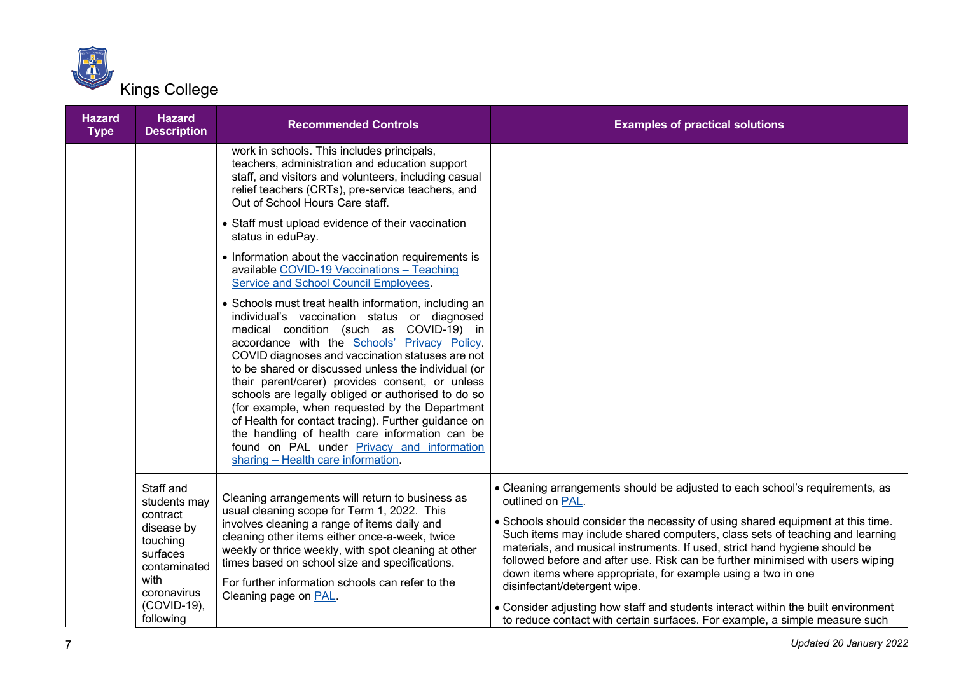

| <b>Hazard</b><br><b>Type</b> | <b>Hazard</b><br><b>Description</b>                                                                                                               | <b>Recommended Controls</b>                                                                                                                                                                                                                                                                                                                                                                                                                                                                                                                                                                                                                                                | <b>Examples of practical solutions</b>                                                                                                                                                                                                                                                                                                                                                                                                                                                                                                                                                                                                                                                                  |
|------------------------------|---------------------------------------------------------------------------------------------------------------------------------------------------|----------------------------------------------------------------------------------------------------------------------------------------------------------------------------------------------------------------------------------------------------------------------------------------------------------------------------------------------------------------------------------------------------------------------------------------------------------------------------------------------------------------------------------------------------------------------------------------------------------------------------------------------------------------------------|---------------------------------------------------------------------------------------------------------------------------------------------------------------------------------------------------------------------------------------------------------------------------------------------------------------------------------------------------------------------------------------------------------------------------------------------------------------------------------------------------------------------------------------------------------------------------------------------------------------------------------------------------------------------------------------------------------|
|                              |                                                                                                                                                   | work in schools. This includes principals,<br>teachers, administration and education support<br>staff, and visitors and volunteers, including casual<br>relief teachers (CRTs), pre-service teachers, and<br>Out of School Hours Care staff.                                                                                                                                                                                                                                                                                                                                                                                                                               |                                                                                                                                                                                                                                                                                                                                                                                                                                                                                                                                                                                                                                                                                                         |
|                              |                                                                                                                                                   | • Staff must upload evidence of their vaccination<br>status in eduPay.                                                                                                                                                                                                                                                                                                                                                                                                                                                                                                                                                                                                     |                                                                                                                                                                                                                                                                                                                                                                                                                                                                                                                                                                                                                                                                                                         |
|                              |                                                                                                                                                   | • Information about the vaccination requirements is<br>available COVID-19 Vaccinations - Teaching<br>Service and School Council Employees.                                                                                                                                                                                                                                                                                                                                                                                                                                                                                                                                 |                                                                                                                                                                                                                                                                                                                                                                                                                                                                                                                                                                                                                                                                                                         |
|                              |                                                                                                                                                   | • Schools must treat health information, including an<br>individual's vaccination status or diagnosed<br>medical condition (such as COVID-19) in<br>accordance with the Schools' Privacy Policy.<br>COVID diagnoses and vaccination statuses are not<br>to be shared or discussed unless the individual (or<br>their parent/carer) provides consent, or unless<br>schools are legally obliged or authorised to do so<br>(for example, when requested by the Department<br>of Health for contact tracing). Further guidance on<br>the handling of health care information can be<br>found on PAL under <b>Privacy</b> and information<br>sharing - Health care information. |                                                                                                                                                                                                                                                                                                                                                                                                                                                                                                                                                                                                                                                                                                         |
|                              | Staff and<br>students may<br>contract<br>disease by<br>touching<br>surfaces<br>contaminated<br>with<br>coronavirus<br>$(COVID-19)$ ,<br>following | Cleaning arrangements will return to business as<br>usual cleaning scope for Term 1, 2022. This<br>involves cleaning a range of items daily and<br>cleaning other items either once-a-week, twice<br>weekly or thrice weekly, with spot cleaning at other<br>times based on school size and specifications.<br>For further information schools can refer to the<br>Cleaning page on PAL.                                                                                                                                                                                                                                                                                   | • Cleaning arrangements should be adjusted to each school's requirements, as<br>outlined on PAL.<br>. Schools should consider the necessity of using shared equipment at this time.<br>Such items may include shared computers, class sets of teaching and learning<br>materials, and musical instruments. If used, strict hand hygiene should be<br>followed before and after use. Risk can be further minimised with users wiping<br>down items where appropriate, for example using a two in one<br>disinfectant/detergent wipe.<br>• Consider adjusting how staff and students interact within the built environment<br>to reduce contact with certain surfaces. For example, a simple measure such |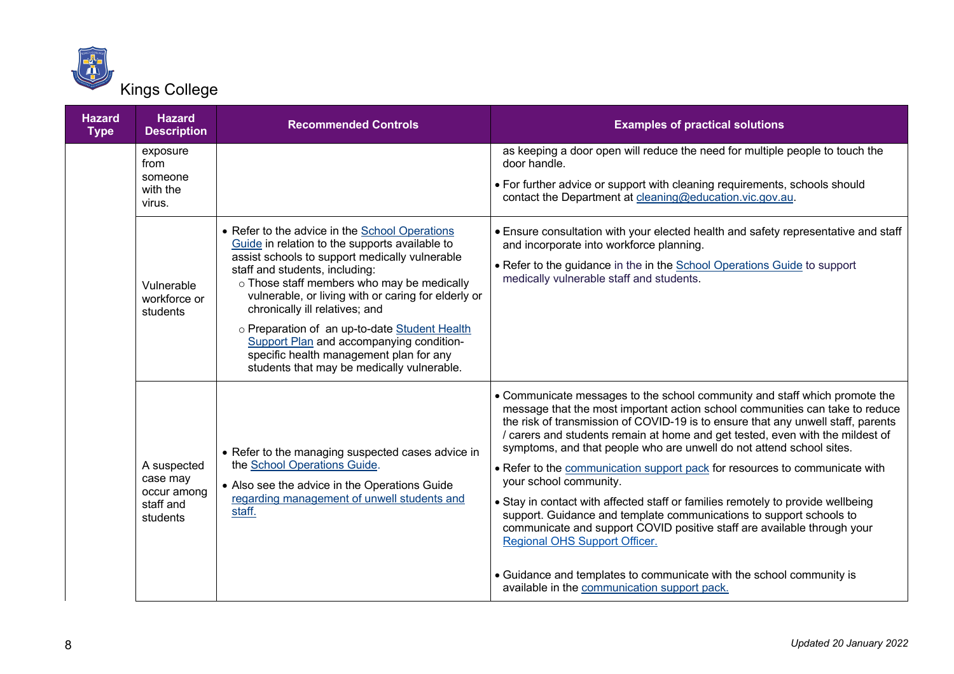

| <b>Hazard</b><br><b>Type</b> | <b>Hazard</b><br><b>Description</b>                             | <b>Recommended Controls</b>                                                                                                                                                                                                                                                                                                                                                                                                                                                                                       | <b>Examples of practical solutions</b>                                                                                                                                                                                                                                                                                                                                                                                                                                                                                                                                                                                                                                                                                                                                                                                                                                                                         |
|------------------------------|-----------------------------------------------------------------|-------------------------------------------------------------------------------------------------------------------------------------------------------------------------------------------------------------------------------------------------------------------------------------------------------------------------------------------------------------------------------------------------------------------------------------------------------------------------------------------------------------------|----------------------------------------------------------------------------------------------------------------------------------------------------------------------------------------------------------------------------------------------------------------------------------------------------------------------------------------------------------------------------------------------------------------------------------------------------------------------------------------------------------------------------------------------------------------------------------------------------------------------------------------------------------------------------------------------------------------------------------------------------------------------------------------------------------------------------------------------------------------------------------------------------------------|
|                              | exposure<br>from<br>someone<br>with the<br>virus.               |                                                                                                                                                                                                                                                                                                                                                                                                                                                                                                                   | as keeping a door open will reduce the need for multiple people to touch the<br>door handle.<br>• For further advice or support with cleaning requirements, schools should<br>contact the Department at cleaning@education.vic.gov.au.                                                                                                                                                                                                                                                                                                                                                                                                                                                                                                                                                                                                                                                                         |
|                              | Vulnerable<br>workforce or<br>students                          | • Refer to the advice in the School Operations<br>Guide in relation to the supports available to<br>assist schools to support medically vulnerable<br>staff and students, including:<br>o Those staff members who may be medically<br>vulnerable, or living with or caring for elderly or<br>chronically ill relatives; and<br>o Preparation of an up-to-date Student Health<br>Support Plan and accompanying condition-<br>specific health management plan for any<br>students that may be medically vulnerable. | • Ensure consultation with your elected health and safety representative and staff<br>and incorporate into workforce planning.<br>. Refer to the guidance in the in the School Operations Guide to support<br>medically vulnerable staff and students.                                                                                                                                                                                                                                                                                                                                                                                                                                                                                                                                                                                                                                                         |
|                              | A suspected<br>case may<br>occur among<br>staff and<br>students | • Refer to the managing suspected cases advice in<br>the School Operations Guide.<br>• Also see the advice in the Operations Guide<br>regarding management of unwell students and<br>staff.                                                                                                                                                                                                                                                                                                                       | • Communicate messages to the school community and staff which promote the<br>message that the most important action school communities can take to reduce<br>the risk of transmission of COVID-19 is to ensure that any unwell staff, parents<br>/ carers and students remain at home and get tested, even with the mildest of<br>symptoms, and that people who are unwell do not attend school sites.<br>• Refer to the communication support pack for resources to communicate with<br>your school community.<br>• Stay in contact with affected staff or families remotely to provide wellbeing<br>support. Guidance and template communications to support schools to<br>communicate and support COVID positive staff are available through your<br>Regional OHS Support Officer.<br>• Guidance and templates to communicate with the school community is<br>available in the communication support pack. |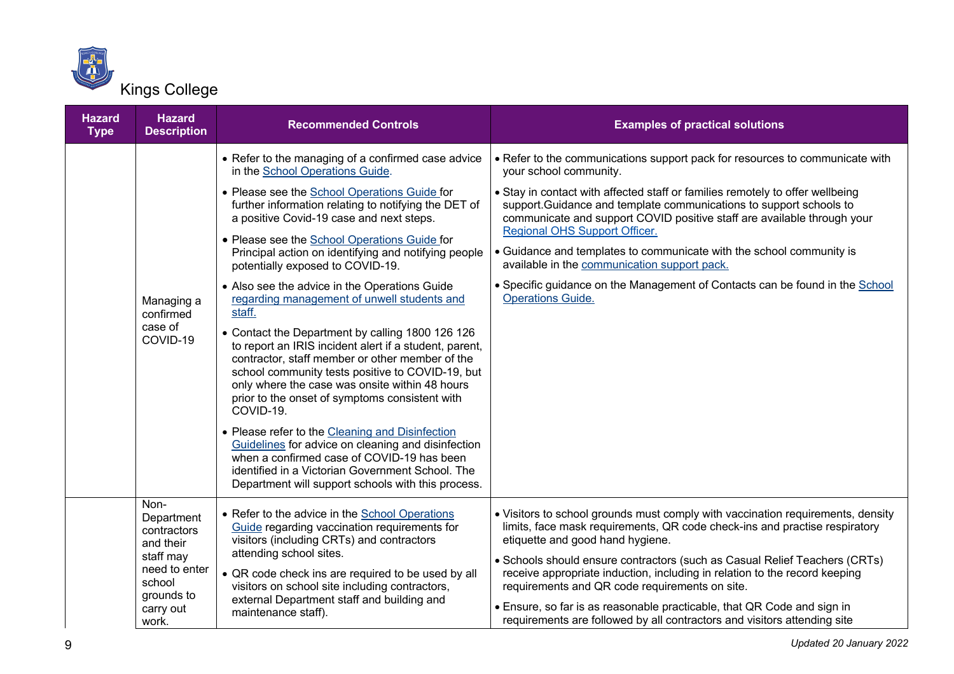

| <b>Hazard</b><br><b>Type</b> | <b>Hazard</b><br><b>Description</b>                | <b>Recommended Controls</b>                                                                                                                                                                                                                                                                                                        | <b>Examples of practical solutions</b>                                                                                                                                                                                                                           |
|------------------------------|----------------------------------------------------|------------------------------------------------------------------------------------------------------------------------------------------------------------------------------------------------------------------------------------------------------------------------------------------------------------------------------------|------------------------------------------------------------------------------------------------------------------------------------------------------------------------------------------------------------------------------------------------------------------|
|                              |                                                    | • Refer to the managing of a confirmed case advice<br>in the School Operations Guide.                                                                                                                                                                                                                                              | • Refer to the communications support pack for resources to communicate with<br>your school community.                                                                                                                                                           |
|                              |                                                    | • Please see the School Operations Guide for<br>further information relating to notifying the DET of<br>a positive Covid-19 case and next steps.                                                                                                                                                                                   | • Stay in contact with affected staff or families remotely to offer wellbeing<br>support. Guidance and template communications to support schools to<br>communicate and support COVID positive staff are available through your<br>Regional OHS Support Officer. |
|                              |                                                    | • Please see the School Operations Guide for<br>Principal action on identifying and notifying people<br>potentially exposed to COVID-19.                                                                                                                                                                                           | • Guidance and templates to communicate with the school community is<br>available in the communication support pack.                                                                                                                                             |
|                              | Managing a<br>confirmed                            | • Also see the advice in the Operations Guide<br>regarding management of unwell students and<br>staff.                                                                                                                                                                                                                             | • Specific guidance on the Management of Contacts can be found in the School<br><b>Operations Guide.</b>                                                                                                                                                         |
|                              | case of<br>COVID-19                                | • Contact the Department by calling 1800 126 126<br>to report an IRIS incident alert if a student, parent,<br>contractor, staff member or other member of the<br>school community tests positive to COVID-19, but<br>only where the case was onsite within 48 hours<br>prior to the onset of symptoms consistent with<br>COVID-19. |                                                                                                                                                                                                                                                                  |
|                              |                                                    | • Please refer to the Cleaning and Disinfection<br>Guidelines for advice on cleaning and disinfection<br>when a confirmed case of COVID-19 has been<br>identified in a Victorian Government School. The<br>Department will support schools with this process.                                                                      |                                                                                                                                                                                                                                                                  |
|                              | Non-<br>Department<br>contractors<br>and their     | • Refer to the advice in the School Operations<br>Guide regarding vaccination requirements for<br>visitors (including CRTs) and contractors<br>attending school sites.                                                                                                                                                             | • Visitors to school grounds must comply with vaccination requirements, density<br>limits, face mask requirements, QR code check-ins and practise respiratory<br>etiquette and good hand hygiene.                                                                |
|                              | staff may<br>need to enter<br>school<br>grounds to | • QR code check ins are required to be used by all<br>visitors on school site including contractors,                                                                                                                                                                                                                               | • Schools should ensure contractors (such as Casual Relief Teachers (CRTs)<br>receive appropriate induction, including in relation to the record keeping<br>requirements and QR code requirements on site.                                                       |
|                              | carry out<br>work.                                 | external Department staff and building and<br>maintenance staff).                                                                                                                                                                                                                                                                  | • Ensure, so far is as reasonable practicable, that QR Code and sign in<br>requirements are followed by all contractors and visitors attending site                                                                                                              |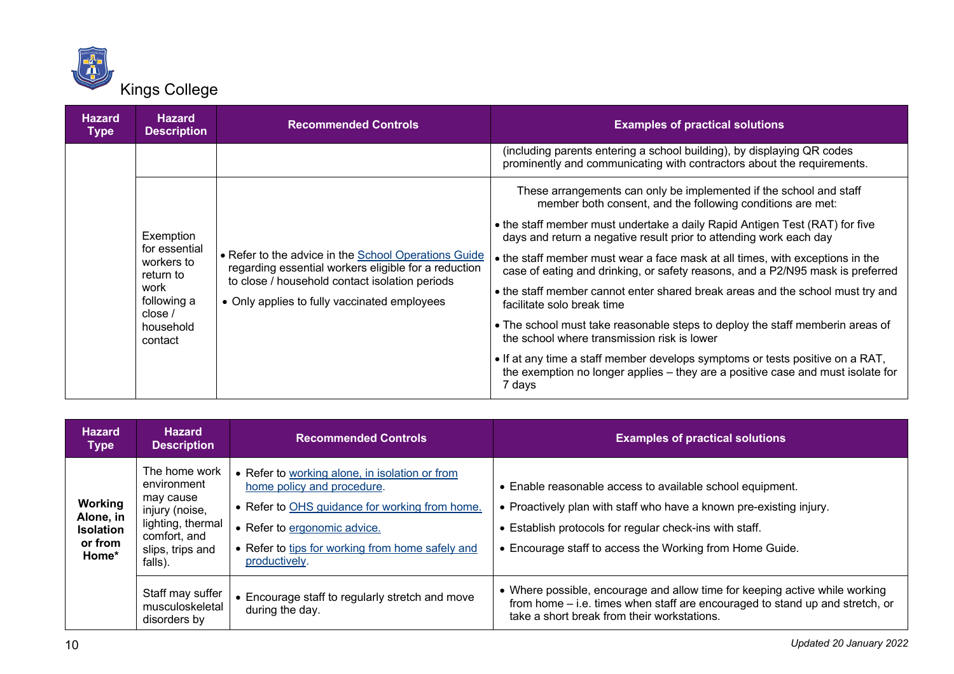

| <b>Hazard</b><br><b>Type</b>                             | <b>Hazard</b><br><b>Description</b>                                                                                                                                   | <b>Recommended Controls</b>                                                                                                                       | <b>Examples of practical solutions</b>                                                                                                                                     |
|----------------------------------------------------------|-----------------------------------------------------------------------------------------------------------------------------------------------------------------------|---------------------------------------------------------------------------------------------------------------------------------------------------|----------------------------------------------------------------------------------------------------------------------------------------------------------------------------|
|                                                          |                                                                                                                                                                       |                                                                                                                                                   | (including parents entering a school building), by displaying QR codes<br>prominently and communicating with contractors about the requirements.                           |
|                                                          | Exemption<br>for essential<br>• Refer to the advice in the School Operations Guide<br>workers to<br>regarding essential workers eligible for a reduction<br>return to | These arrangements can only be implemented if the school and staff<br>member both consent, and the following conditions are met:                  |                                                                                                                                                                            |
|                                                          |                                                                                                                                                                       | • the staff member must undertake a daily Rapid Antigen Test (RAT) for five<br>days and return a negative result prior to attending work each day |                                                                                                                                                                            |
|                                                          |                                                                                                                                                                       | to close / household contact isolation periods<br>• Only applies to fully vaccinated employees                                                    | • the staff member must wear a face mask at all times, with exceptions in the<br>case of eating and drinking, or safety reasons, and a P2/N95 mask is preferred            |
| work<br>following a<br>close $/$<br>household<br>contact |                                                                                                                                                                       |                                                                                                                                                   | • the staff member cannot enter shared break areas and the school must try and<br>facilitate solo break time                                                               |
|                                                          |                                                                                                                                                                       |                                                                                                                                                   | • The school must take reasonable steps to deploy the staff memberin areas of<br>the school where transmission risk is lower                                               |
|                                                          |                                                                                                                                                                       |                                                                                                                                                   | • If at any time a staff member develops symptoms or tests positive on a RAT,<br>the exemption no longer applies - they are a positive case and must isolate for<br>7 days |

| <b>Hazard</b><br><b>Type</b>                                 | <b>Hazard</b><br><b>Description</b>                                                                                             | <b>Recommended Controls</b>                                                                                                                                                                                                         | <b>Examples of practical solutions</b>                                                                                                                                                                                                                  |
|--------------------------------------------------------------|---------------------------------------------------------------------------------------------------------------------------------|-------------------------------------------------------------------------------------------------------------------------------------------------------------------------------------------------------------------------------------|---------------------------------------------------------------------------------------------------------------------------------------------------------------------------------------------------------------------------------------------------------|
| Working<br>Alone, in<br><b>Isolation</b><br>or from<br>Home* | The home work<br>environment<br>may cause<br>injury (noise,<br>lighting, thermal<br>comfort, and<br>slips, trips and<br>falls). | • Refer to working alone, in isolation or from<br>home policy and procedure.<br>• Refer to OHS guidance for working from home.<br>• Refer to ergonomic advice.<br>• Refer to tips for working from home safely and<br>productively. | • Enable reasonable access to available school equipment.<br>• Proactively plan with staff who have a known pre-existing injury.<br>• Establish protocols for regular check-ins with staff.<br>• Encourage staff to access the Working from Home Guide. |
|                                                              | Staff may suffer<br>musculoskeletal<br>disorders by                                                                             | • Encourage staff to regularly stretch and move<br>during the day.                                                                                                                                                                  | • Where possible, encourage and allow time for keeping active while working<br>from home – i.e. times when staff are encouraged to stand up and stretch, or<br>take a short break from their workstations.                                              |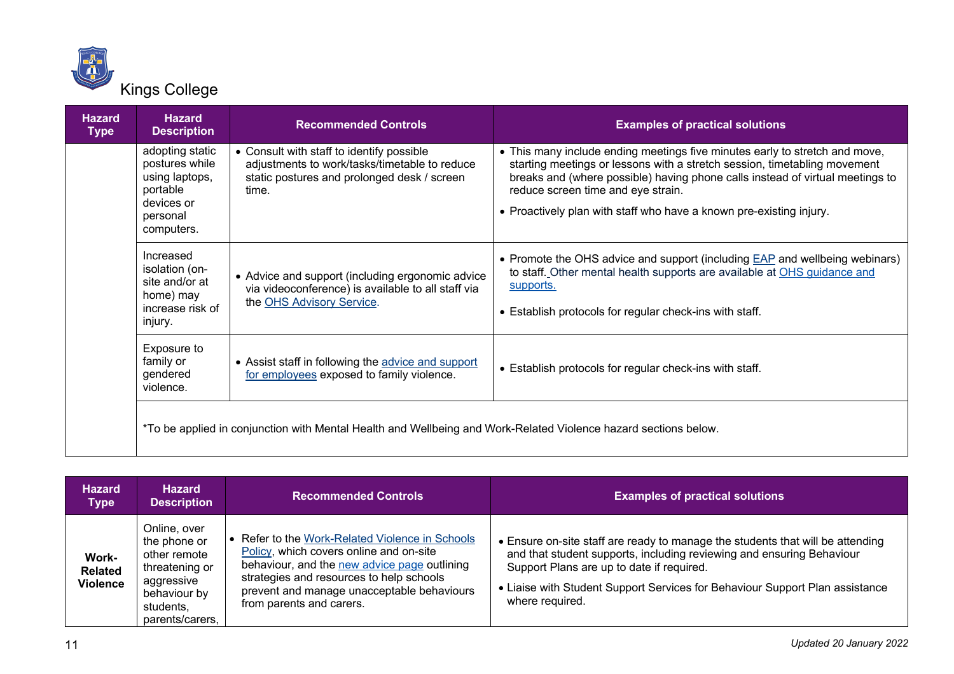

| <b>Hazard</b><br><b>Type</b> | <b>Hazard</b><br><b>Description</b>                                                                     | <b>Recommended Controls</b>                                                                                                                        | <b>Examples of practical solutions</b>                                                                                                                                                                                                                                                                                                                 |
|------------------------------|---------------------------------------------------------------------------------------------------------|----------------------------------------------------------------------------------------------------------------------------------------------------|--------------------------------------------------------------------------------------------------------------------------------------------------------------------------------------------------------------------------------------------------------------------------------------------------------------------------------------------------------|
|                              | adopting static<br>postures while<br>using laptops,<br>portable<br>devices or<br>personal<br>computers. | • Consult with staff to identify possible<br>adjustments to work/tasks/timetable to reduce<br>static postures and prolonged desk / screen<br>time. | • This many include ending meetings five minutes early to stretch and move,<br>starting meetings or lessons with a stretch session, timetabling movement<br>breaks and (where possible) having phone calls instead of virtual meetings to<br>reduce screen time and eye strain.<br>• Proactively plan with staff who have a known pre-existing injury. |
|                              | Increased<br>isolation (on-<br>site and/or at<br>home) may<br>increase risk of<br>injury.               | • Advice and support (including ergonomic advice<br>via videoconference) is available to all staff via<br>the OHS Advisory Service.                | • Promote the OHS advice and support (including EAP and wellbeing webinars)<br>to staff. Other mental health supports are available at OHS guidance and<br>supports.<br>• Establish protocols for regular check-ins with staff.                                                                                                                        |
|                              | Exposure to<br>family or<br>gendered<br>violence.                                                       | • Assist staff in following the advice and support<br>for employees exposed to family violence.                                                    | • Establish protocols for regular check-ins with staff.                                                                                                                                                                                                                                                                                                |
|                              |                                                                                                         | *To be applied in conjunction with Mental Health and Wellbeing and Work-Related Violence hazard sections below.                                    |                                                                                                                                                                                                                                                                                                                                                        |

| <b>Hazard</b><br><b>Type</b>               | <b>Hazard</b><br><b>Description</b>                                                                                          | <b>Recommended Controls</b>                                                                                                                                                                                                                                      | <b>Examples of practical solutions</b>                                                                                                                                                                                                                                                                  |
|--------------------------------------------|------------------------------------------------------------------------------------------------------------------------------|------------------------------------------------------------------------------------------------------------------------------------------------------------------------------------------------------------------------------------------------------------------|---------------------------------------------------------------------------------------------------------------------------------------------------------------------------------------------------------------------------------------------------------------------------------------------------------|
| Work-<br><b>Related</b><br><b>Violence</b> | Online, over<br>the phone or<br>other remote<br>threatening or<br>aggressive<br>behaviour by<br>students,<br>parents/carers, | • Refer to the Work-Related Violence in Schools<br>Policy, which covers online and on-site<br>behaviour, and the new advice page outlining<br>strategies and resources to help schools<br>prevent and manage unacceptable behaviours<br>from parents and carers. | • Ensure on-site staff are ready to manage the students that will be attending<br>and that student supports, including reviewing and ensuring Behaviour<br>Support Plans are up to date if required.<br>• Liaise with Student Support Services for Behaviour Support Plan assistance<br>where required. |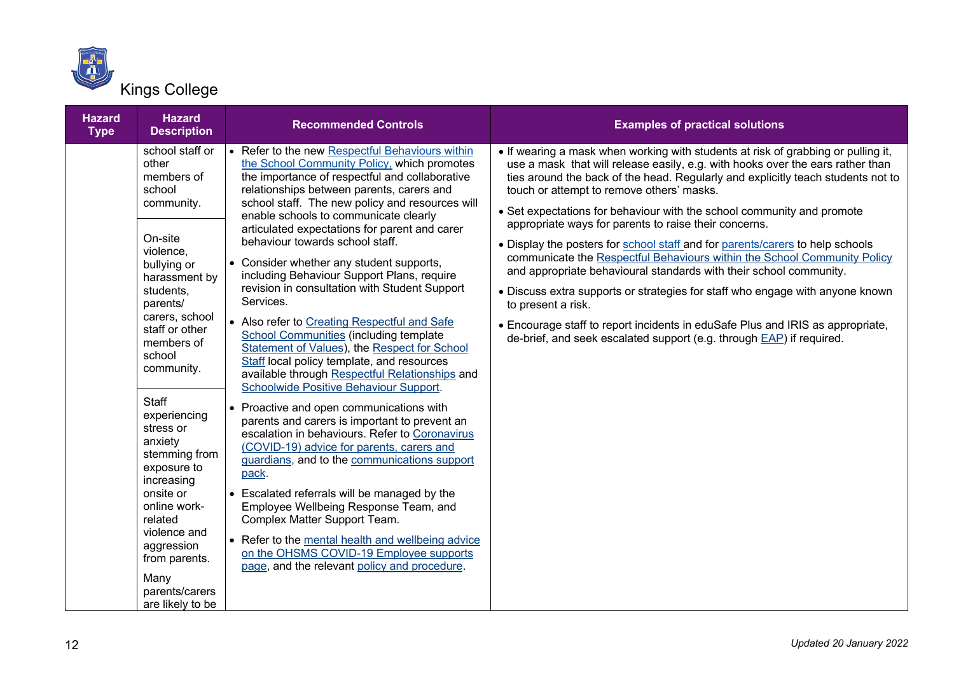

| <b>Hazard</b><br><b>Type</b> | <b>Hazard</b><br><b>Description</b>                                                                                                                                                                                                                                                                                      | <b>Recommended Controls</b>                                                                                                                                                                                                                                                                                                                                                                                                                                                                                                                                                                                                                                                                                                                                                                                                                                                                                                                                                                                                                                                           | <b>Examples of practical solutions</b>                                                                                                                                                                                                                                                                                                                                                                                                                                                                                                                                                                                                                                                                                                                                                                                                                                                                                                      |
|------------------------------|--------------------------------------------------------------------------------------------------------------------------------------------------------------------------------------------------------------------------------------------------------------------------------------------------------------------------|---------------------------------------------------------------------------------------------------------------------------------------------------------------------------------------------------------------------------------------------------------------------------------------------------------------------------------------------------------------------------------------------------------------------------------------------------------------------------------------------------------------------------------------------------------------------------------------------------------------------------------------------------------------------------------------------------------------------------------------------------------------------------------------------------------------------------------------------------------------------------------------------------------------------------------------------------------------------------------------------------------------------------------------------------------------------------------------|---------------------------------------------------------------------------------------------------------------------------------------------------------------------------------------------------------------------------------------------------------------------------------------------------------------------------------------------------------------------------------------------------------------------------------------------------------------------------------------------------------------------------------------------------------------------------------------------------------------------------------------------------------------------------------------------------------------------------------------------------------------------------------------------------------------------------------------------------------------------------------------------------------------------------------------------|
|                              | school staff or<br>other<br>members of<br>school<br>community.<br>On-site<br>violence,<br>bullying or<br>harassment by<br>students,<br>parents/<br>carers, school<br>staff or other<br>members of<br>school<br>community.<br>Staff<br>experiencing<br>stress or<br>anxiety<br>stemming from<br>exposure to<br>increasing | • Refer to the new Respectful Behaviours within<br>the School Community Policy, which promotes<br>the importance of respectful and collaborative<br>relationships between parents, carers and<br>school staff. The new policy and resources will<br>enable schools to communicate clearly<br>articulated expectations for parent and carer<br>behaviour towards school staff.<br>• Consider whether any student supports,<br>including Behaviour Support Plans, require<br>revision in consultation with Student Support<br>Services.<br>• Also refer to Creating Respectful and Safe<br><b>School Communities (including template</b><br>Statement of Values), the Respect for School<br>Staff local policy template, and resources<br>available through Respectful Relationships and<br>Schoolwide Positive Behaviour Support.<br>• Proactive and open communications with<br>parents and carers is important to prevent an<br>escalation in behaviours. Refer to Coronavirus<br>(COVID-19) advice for parents, carers and<br>guardians, and to the communications support<br>pack. | . If wearing a mask when working with students at risk of grabbing or pulling it,<br>use a mask that will release easily, e.g. with hooks over the ears rather than<br>ties around the back of the head. Regularly and explicitly teach students not to<br>touch or attempt to remove others' masks.<br>• Set expectations for behaviour with the school community and promote<br>appropriate ways for parents to raise their concerns.<br>. Display the posters for school staff and for parents/carers to help schools<br>communicate the Respectful Behaviours within the School Community Policy<br>and appropriate behavioural standards with their school community.<br>• Discuss extra supports or strategies for staff who engage with anyone known<br>to present a risk.<br>• Encourage staff to report incidents in eduSafe Plus and IRIS as appropriate,<br>de-brief, and seek escalated support (e.g. through EAP) if required. |
|                              | onsite or<br>online work-<br>related<br>violence and<br>aggression<br>from parents.<br>Many<br>parents/carers<br>are likely to be                                                                                                                                                                                        | • Escalated referrals will be managed by the<br>Employee Wellbeing Response Team, and<br>Complex Matter Support Team.<br>• Refer to the mental health and wellbeing advice<br>on the OHSMS COVID-19 Employee supports<br>page, and the relevant policy and procedure.                                                                                                                                                                                                                                                                                                                                                                                                                                                                                                                                                                                                                                                                                                                                                                                                                 |                                                                                                                                                                                                                                                                                                                                                                                                                                                                                                                                                                                                                                                                                                                                                                                                                                                                                                                                             |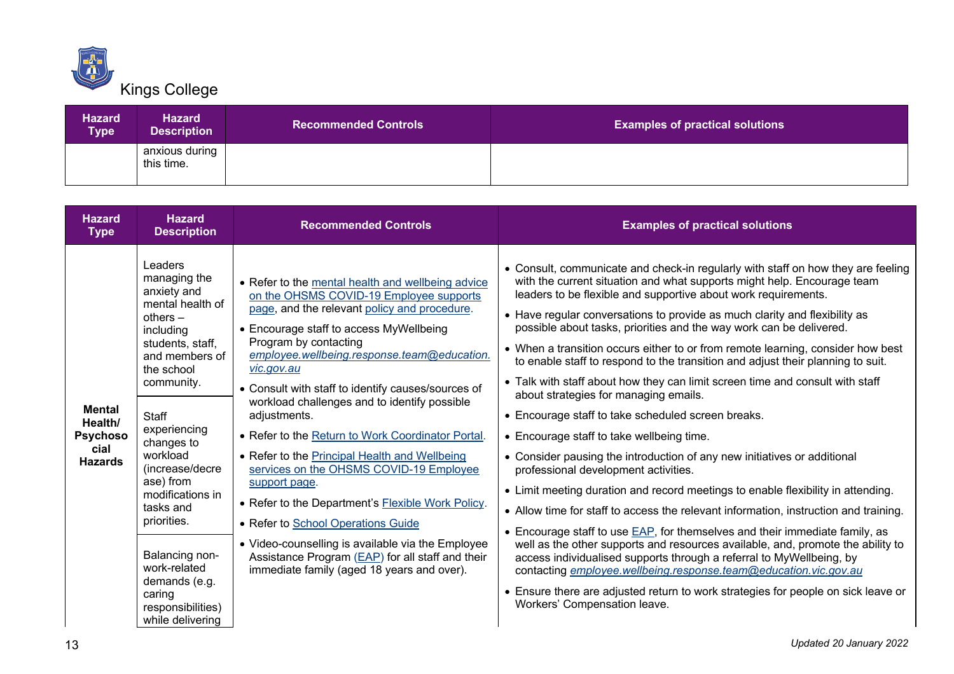

| <b>Hazard</b><br><b>Type</b> | <b>Hazard</b><br>Description <sup>1</sup> | <b>Recommended Controls</b> | <b>Examples of practical solutions</b> |
|------------------------------|-------------------------------------------|-----------------------------|----------------------------------------|
|                              | anxious during<br>this time.              |                             |                                        |

| <b>Hazard</b><br><b>Type</b>                                   | <b>Hazard</b><br><b>Description</b>                                                                                                                                                                                                                                                                                                                                                                     | <b>Recommended Controls</b>                                                                                                                                                                                                                                                                                                                                                                                                                                                                                                                                                                                                                                                                                                                                                                                             | <b>Examples of practical solutions</b>                                                                                                                                                                                                                                                                                                                                                                                                                                                                                                                                                                                                                                                                                                                                                                                                                                                                                                                                                                                                                                                                                                                                                                                                                                                                                                                                                                                                                                                                                   |
|----------------------------------------------------------------|---------------------------------------------------------------------------------------------------------------------------------------------------------------------------------------------------------------------------------------------------------------------------------------------------------------------------------------------------------------------------------------------------------|-------------------------------------------------------------------------------------------------------------------------------------------------------------------------------------------------------------------------------------------------------------------------------------------------------------------------------------------------------------------------------------------------------------------------------------------------------------------------------------------------------------------------------------------------------------------------------------------------------------------------------------------------------------------------------------------------------------------------------------------------------------------------------------------------------------------------|--------------------------------------------------------------------------------------------------------------------------------------------------------------------------------------------------------------------------------------------------------------------------------------------------------------------------------------------------------------------------------------------------------------------------------------------------------------------------------------------------------------------------------------------------------------------------------------------------------------------------------------------------------------------------------------------------------------------------------------------------------------------------------------------------------------------------------------------------------------------------------------------------------------------------------------------------------------------------------------------------------------------------------------------------------------------------------------------------------------------------------------------------------------------------------------------------------------------------------------------------------------------------------------------------------------------------------------------------------------------------------------------------------------------------------------------------------------------------------------------------------------------------|
| <b>Mental</b><br>Health/<br>Psychoso<br>cial<br><b>Hazards</b> | Leaders<br>managing the<br>anxiety and<br>mental health of<br>others $-$<br>including<br>students, staff,<br>and members of<br>the school<br>community.<br><b>Staff</b><br>experiencing<br>changes to<br>workload<br>(increase/decre<br>ase) from<br>modifications in<br>tasks and<br>priorities.<br>Balancing non-<br>work-related<br>demands (e.g.<br>caring<br>responsibilities)<br>while delivering | • Refer to the mental health and wellbeing advice<br>on the OHSMS COVID-19 Employee supports<br>page, and the relevant policy and procedure.<br>• Encourage staff to access MyWellbeing<br>Program by contacting<br>employee.wellbeing.response.team@education.<br>vic.gov.au<br>• Consult with staff to identify causes/sources of<br>workload challenges and to identify possible<br>adjustments.<br>• Refer to the Return to Work Coordinator Portal.<br>• Refer to the Principal Health and Wellbeing<br>services on the OHSMS COVID-19 Employee<br>support page.<br>• Refer to the Department's Flexible Work Policy.<br>• Refer to School Operations Guide<br>• Video-counselling is available via the Employee<br>Assistance Program (EAP) for all staff and their<br>immediate family (aged 18 years and over). | • Consult, communicate and check-in regularly with staff on how they are feeling<br>with the current situation and what supports might help. Encourage team<br>leaders to be flexible and supportive about work requirements.<br>• Have regular conversations to provide as much clarity and flexibility as<br>possible about tasks, priorities and the way work can be delivered.<br>• When a transition occurs either to or from remote learning, consider how best<br>to enable staff to respond to the transition and adjust their planning to suit.<br>• Talk with staff about how they can limit screen time and consult with staff<br>about strategies for managing emails.<br>• Encourage staff to take scheduled screen breaks.<br>• Encourage staff to take wellbeing time.<br>• Consider pausing the introduction of any new initiatives or additional<br>professional development activities.<br>• Limit meeting duration and record meetings to enable flexibility in attending.<br>• Allow time for staff to access the relevant information, instruction and training.<br>• Encourage staff to use EAP, for themselves and their immediate family, as<br>well as the other supports and resources available, and, promote the ability to<br>access individualised supports through a referral to MyWellbeing, by<br>contacting employee.wellbeing.response.team@education.vic.gov.au<br>• Ensure there are adjusted return to work strategies for people on sick leave or<br>Workers' Compensation leave. |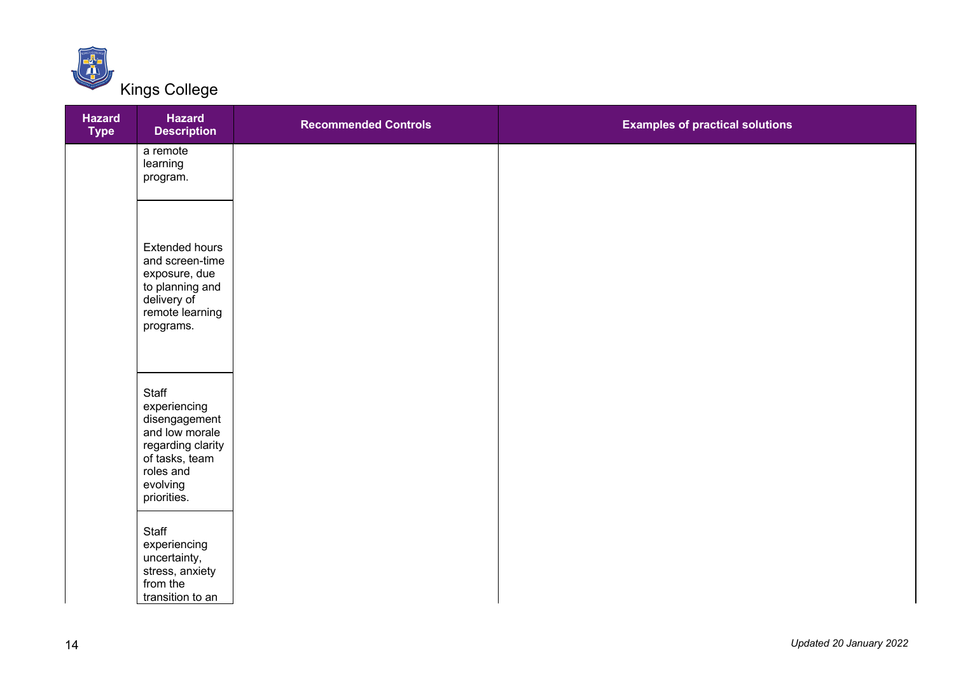

| <b>Hazard</b><br><b>Type</b> | <b>Hazard</b><br><b>Description</b>                                                                                                     | <b>Recommended Controls</b> | <b>Examples of practical solutions</b> |
|------------------------------|-----------------------------------------------------------------------------------------------------------------------------------------|-----------------------------|----------------------------------------|
|                              | a remote<br>learning<br>program.                                                                                                        |                             |                                        |
|                              | <b>Extended hours</b><br>and screen-time<br>exposure, due<br>to planning and<br>delivery of<br>remote learning<br>programs.             |                             |                                        |
|                              | Staff<br>experiencing<br>disengagement<br>and low morale<br>regarding clarity<br>of tasks, team<br>roles and<br>evolving<br>priorities. |                             |                                        |
|                              | Staff<br>experiencing<br>uncertainty,<br>stress, anxiety<br>from the<br>transition to an                                                |                             |                                        |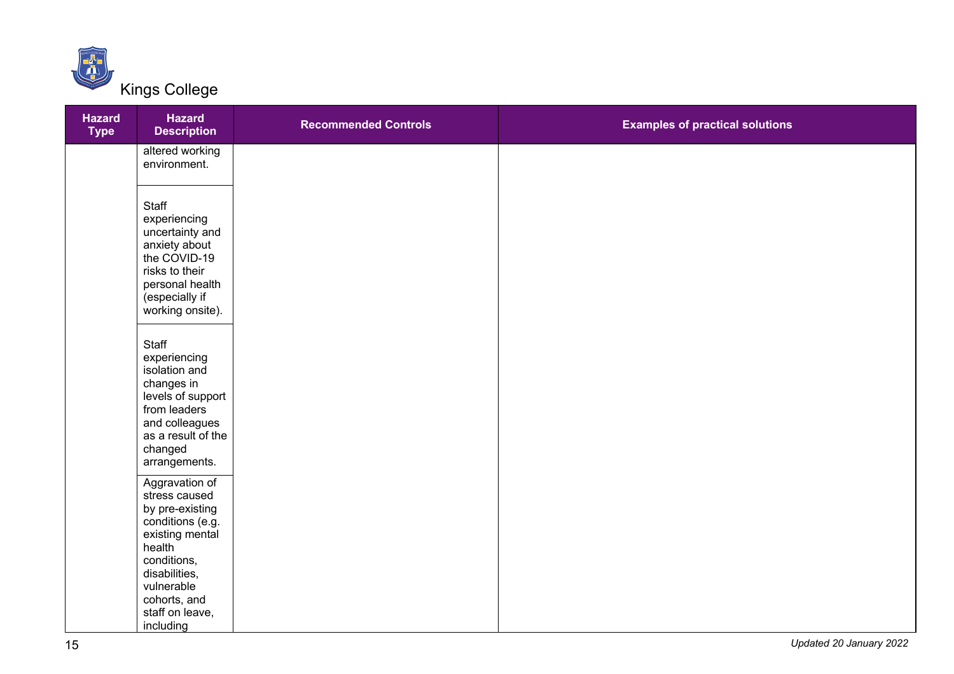

| <b>Hazard</b><br><b>Type</b> | <b>Hazard</b><br><b>Description</b>                                                                                                                                                  | <b>Recommended Controls</b> | <b>Examples of practical solutions</b> |
|------------------------------|--------------------------------------------------------------------------------------------------------------------------------------------------------------------------------------|-----------------------------|----------------------------------------|
|                              | altered working<br>environment.                                                                                                                                                      |                             |                                        |
|                              | Staff<br>experiencing<br>uncertainty and<br>anxiety about<br>the COVID-19<br>risks to their<br>personal health<br>(especially if<br>working onsite).                                 |                             |                                        |
|                              | Staff<br>experiencing<br>isolation and<br>changes in<br>levels of support<br>from leaders<br>and colleagues<br>as a result of the<br>changed<br>arrangements.                        |                             |                                        |
|                              | Aggravation of<br>stress caused<br>by pre-existing<br>conditions (e.g.<br>existing mental<br>health<br>conditions,<br>disabilities,<br>vulnerable<br>cohorts, and<br>staff on leave, |                             |                                        |
|                              | including                                                                                                                                                                            |                             |                                        |